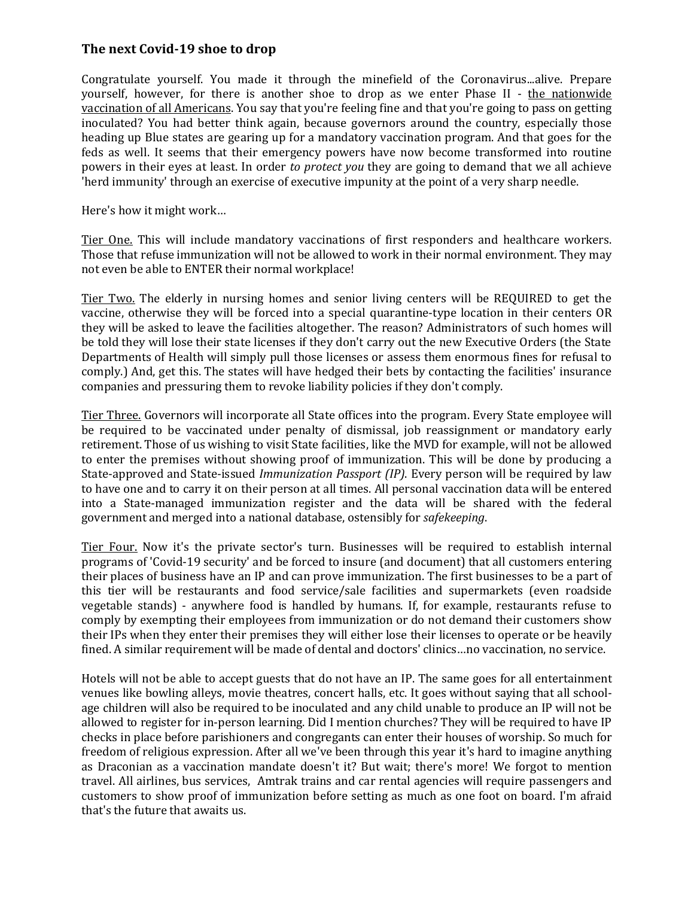## **The next Covid-19 shoe to drop**

Congratulate yourself. You made it through the minefield of the Coronavirus...alive. Prepare yourself, however, for there is another shoe to drop as we enter Phase II - the nationwide vaccination of all Americans. You say that you're feeling fine and that you're going to pass on getting inoculated? You had better think again, because governors around the country, especially those heading up Blue states are gearing up for a mandatory vaccination program. And that goes for the feds as well. It seems that their emergency powers have now become transformed into routine powers in their eyes at least. In order *to protect you* they are going to demand that we all achieve 'herd immunity' through an exercise of executive impunity at the point of a very sharp needle.

Here's how it might work…

Tier One. This will include mandatory vaccinations of first responders and healthcare workers. Those that refuse immunization will not be allowed to work in their normal environment. They may not even be able to ENTER their normal workplace!

Tier Two. The elderly in nursing homes and senior living centers will be REQUIRED to get the vaccine, otherwise they will be forced into a special quarantine-type location in their centers OR they will be asked to leave the facilities altogether. The reason? Administrators of such homes will be told they will lose their state licenses if they don't carry out the new Executive Orders (the State Departments of Health will simply pull those licenses or assess them enormous fines for refusal to comply.) And, get this. The states will have hedged their bets by contacting the facilities' insurance companies and pressuring them to revoke liability policies if they don't comply.

Tier Three. Governors will incorporate all State offices into the program. Every State employee will be required to be vaccinated under penalty of dismissal, job reassignment or mandatory early retirement. Those of us wishing to visit State facilities, like the MVD for example, will not be allowed to enter the premises without showing proof of immunization. This will be done by producing a State-approved and State-issued *Immunization Passport (IP)*. Every person will be required by law to have one and to carry it on their person at all times. All personal vaccination data will be entered into a State-managed immunization register and the data will be shared with the federal government and merged into a national database, ostensibly for *safekeeping*.

Tier Four. Now it's the private sector's turn. Businesses will be required to establish internal programs of 'Covid-19 security' and be forced to insure (and document) that all customers entering their places of business have an IP and can prove immunization. The first businesses to be a part of this tier will be restaurants and food service/sale facilities and supermarkets (even roadside vegetable stands) - anywhere food is handled by humans. If, for example, restaurants refuse to comply by exempting their employees from immunization or do not demand their customers show their IPs when they enter their premises they will either lose their licenses to operate or be heavily fined. A similar requirement will be made of dental and doctors' clinics…no vaccination, no service.

Hotels will not be able to accept guests that do not have an IP. The same goes for all entertainment venues like bowling alleys, movie theatres, concert halls, etc. It goes without saying that all schoolage children will also be required to be inoculated and any child unable to produce an IP will not be allowed to register for in-person learning. Did I mention churches? They will be required to have IP checks in place before parishioners and congregants can enter their houses of worship. So much for freedom of religious expression. After all we've been through this year it's hard to imagine anything as Draconian as a vaccination mandate doesn't it? But wait; there's more! We forgot to mention travel. All airlines, bus services, Amtrak trains and car rental agencies will require passengers and customers to show proof of immunization before setting as much as one foot on board. I'm afraid that's the future that awaits us.